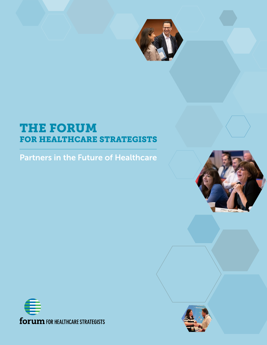

# THE FORUM FOR HEALTHCARE STRATEGISTS

Partners in the Future of Healthcare





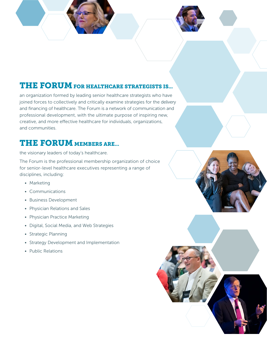### THE FORUM FOR HEALTHCARE STRATEGISTS IS...

an organization formed by leading senior healthcare strategists who have joined forces to collectively and critically examine strategies for the delivery and financing of healthcare. The Forum is a network of communication and professional development, with the ultimate purpose of inspiring new, creative, and more effective healthcare for individuals, organizations, and communities.

# THE FORUM MEMBERS ARE...

the visionary leaders of today's healthcare.

The Forum is the professional membership organization of choice for senior-level healthcare executives representing a range of disciplines, including:

- Marketing
- Communications
- Business Development
- Physician Relations and Sales
- Physician Practice Marketing
- Digital, Social Media, and Web Strategies
- Strategic Planning
- Strategy Development and Implementation
- Public Relations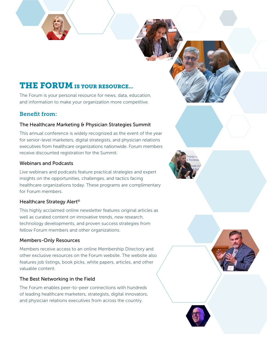# THE FORUM IS YOUR RESOURCE...

The Forum is your personal resource for news, data, education, and information to make your organization more competitive.

### Benefit from:

#### The Healthcare Marketing & Physician Strategies Summit

This annual conference is widely recognized as the event of the year for senior-level marketers, digital strategists, and physician relations executives from healthcare organizations nationwide. Forum members receive discounted registration for the Summit.

#### Webinars and Podcasts

Live webinars and podcasts feature practical strategies and expert insights on the opportunities, challenges, and tactics facing healthcare organizations today. These programs are complimentary for Forum members.

#### Healthcare Strategy Alert<sup>®</sup>

This highly acclaimed online newsletter features original articles as well as curated content on innovative trends, new research, technology developments, and proven success strategies from fellow Forum members and other organizations.

#### Members-Only Resources

Members receive access to an online Membership Directory and other exclusive resources on the Forum website. The website also features job listings, book picks, white papers, articles, and other valuable content.

#### The Best Networking in the Field

The Forum enables peer-to-peer connections with hundreds of leading healthcare marketers, strategists, digital innovators, and physician relations executives from across the country.